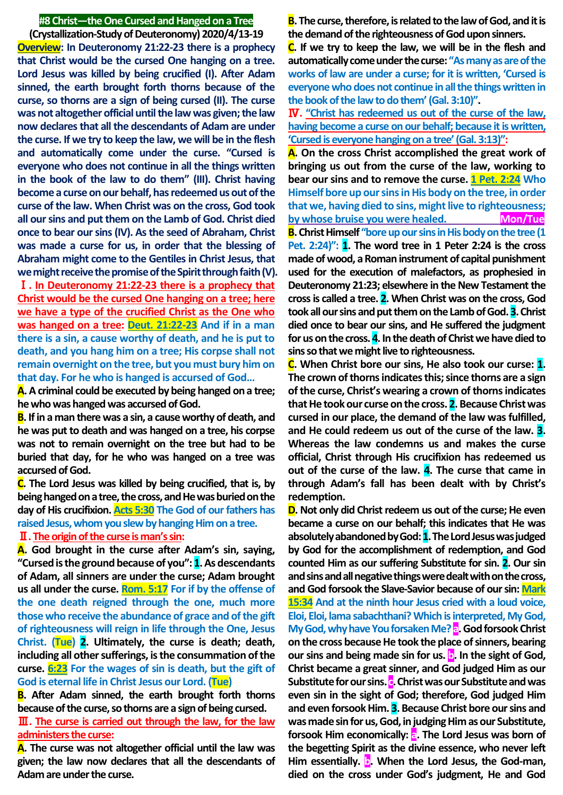### **#8 Christ—the One Cursed and Hanged on a Tree**

**(Crystallization-Study of Deuteronomy) 2020/4/13-19 Overview: In Deuteronomy 21:22-23 there is a prophecy that Christ would be the cursed One hanging on a tree. Lord Jesus was killed by being crucified (I). After Adam sinned, the earth brought forth thorns because of the curse, so thorns are a sign of being cursed (II). The curse was not altogether official until the law was given; the law now declares that all the descendants of Adam are under the curse. If we try to keep the law, we will be in the flesh and automatically come under the curse. "Cursed is everyone who does not continue in all the things written in the book of the law to do them" (III). Christ having become a curse on our behalf, has redeemed us out of the curse of the law. When Christ was on the cross, God took all our sins and put them on the Lamb of God. Christ died once to bear our sins (IV). As the seed of Abraham, Christ was made a curse for us, in order that the blessing of Abraham might come to the Gentiles in Christ Jesus, that we might receive the promise of the Spirit through faith (V).**

Ⅰ**. In Deuteronomy 21:22-23 there is a prophecy that Christ would be the cursed One hanging on a tree; here we have a type of the crucified Christ as the One who was hanged on a tree: Deut. 21:22-23 And if in a man there is a sin, a cause worthy of death, and he is put to death, and you hang him on a tree; His corpse shall not remain overnight on the tree, but you must bury him on that day. For he who is hanged is accursed of God…**

**A. A criminal could be executed by being hanged on a tree; he who was hanged was accursed of God.**

**B. If in a man there was a sin, a cause worthy of death, and he was put to death and was hanged on a tree, his corpse was not to remain overnight on the tree but had to be buried that day, for he who was hanged on a tree was accursed of God.**

**C. The Lord Jesus was killed by being crucified, that is, by being hanged on a tree, the cross, and He was buried on the day of His crucifixion. Acts 5:30 The God of our fathers has raised Jesus, whom you slew by hanging Him on a tree.**

## Ⅱ**. Theorigin of the curse is man's sin:**

**A. God brought in the curse after Adam's sin, saying, "Cursed is the ground because of you": 1. As descendants of Adam, all sinners are under the curse; Adam brought us all under the curse. Rom. 5:17 For if by the offense of the one death reigned through the one, much more those who receive the abundance of grace and of the gift of righteousness will reign in life through the One, Jesus Christ. (Tue) 2. Ultimately, the curse is death; death, including all other sufferings, is the consummation of the curse. 6:23 For the wages of sin is death, but the gift of God is eternal life in Christ Jesus our Lord. (Tue)**

**B. After Adam sinned, the earth brought forth thorns because of the curse, so thorns are a sign of being cursed.**

Ⅲ**. The curse is carried out through the law, for the law administers the curse:**

**A. The curse was not altogether official until the law was given; the law now declares that all the descendants of Adam are under the curse.**

**B. The curse, therefore, is related to the law of God, and it is the demand of the righteousness of God upon sinners.**

**C. If we try to keep the law, we will be in the flesh and automatically come under the curse: "As many as are of the works of law are under a curse; for it is written, 'Cursed is everyone who does not continue in all the things written in the book of the law to do them' (Gal. 3:10)".**

Ⅳ**. "Christ has redeemed us out of the curse of the law, having become a curse on our behalf; because it is written, 'Cursed is everyone hanging on a tree'(Gal. 3:13)":**

**A. On the cross Christ accomplished the great work of bringing us out from the curse of the law, working to bear our sins and to remove the curse. 1 Pet. 2:24 Who Himself bore up our sins in His body on the tree, in order that we, having died to sins, might live to righteousness; by whose bruise you were healed.** Mon/Tue **B. Christ Himself "bore up our sins in His body on the tree (1 Pet. 2:24)": 1. The word tree in 1 Peter 2:24 is the cross made of wood, a Roman instrument of capital punishment used for the execution of malefactors, as prophesied in Deuteronomy 21:23; elsewhere in the New Testament the cross is called a tree. 2. When Christ was on the cross, God took all our sins and put them on the Lamb of God. 3. Christ died once to bear our sins, and He suffered the judgment** 

**sins so that we might live to righteousness. C. When Christ bore our sins, He also took our curse: 1. The crown of thorns indicates this; since thorns are a sign of the curse, Christ's wearing a crown of thorns indicates that He took our curse on the cross. 2. Because Christ was cursed in our place, the demand of the law was fulfilled, and He could redeem us out of the curse of the law. 3. Whereas the law condemns us and makes the curse official, Christ through His crucifixion has redeemed us out of the curse of the law. 4. The curse that came in through Adam's fall has been dealt with by Christ's redemption.**

**for us on the cross. 4. In the death of Christ we have died to** 

**D. Not only did Christ redeem us out of the curse; He even became a curse on our behalf; this indicates that He was absolutely abandoned by God: 1. The Lord Jesus was judged by God for the accomplishment of redemption, and God counted Him as our suffering Substitute for sin. 2. Our sin and sins and all negative things were dealt with on the cross, and God forsook the Slave-Savior because of our sin: Mark 15:34 And at the ninth hour Jesus cried with a loud voice, Eloi, Eloi, lama sabachthani? Which is interpreted, My God, My God, why have You forsaken Me? a. God forsook Christ on the cross because He took the place of sinners, bearing our sins and being made sin for us. b. In the sight of God, Christ became a great sinner, and God judged Him as our Substitute for our sins. c. Christ was our Substitute and was even sin in the sight of God; therefore, God judged Him and even forsook Him. 3. Because Christ bore our sins and was made sin for us, God, in judging Him as our Substitute, forsook Him economically: a. The Lord Jesus was born of the begetting Spirit as the divine essence, who never left**  Him essentially. **b**. When the Lord Jesus, the God-man, **died on the cross under God's judgment, He and God**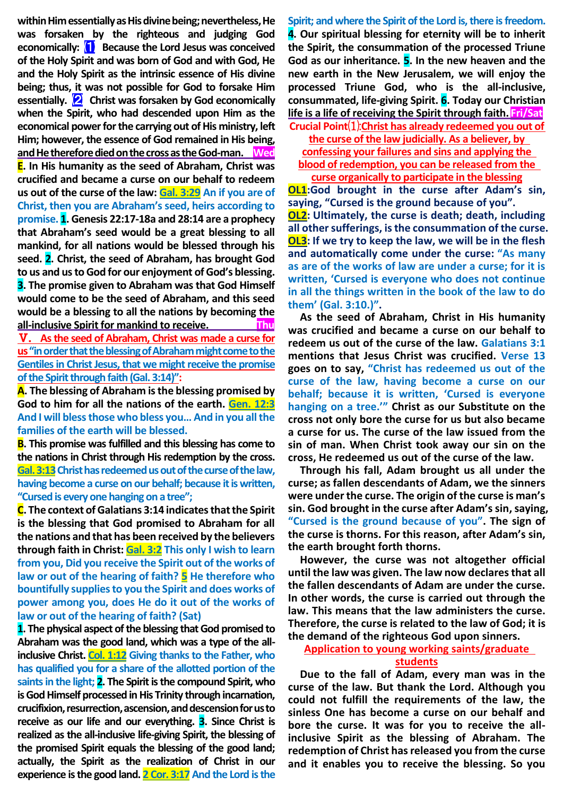**within Him essentially as His divine being; nevertheless, He was forsaken by the righteous and judging God economically:** ⑴ **Because the Lord Jesus was conceived of the Holy Spirit and was born of God and with God, He and the Holy Spirit as the intrinsic essence of His divine being; thus, it was not possible for God to forsake Him essentially.** ⑵ **Christ was forsaken by God economically when the Spirit, who had descended upon Him as the economical power for the carrying out of His ministry, left Him; however, the essence of God remained in His being, and He therefore died on the cross as the God-man. Wed E. In His humanity as the seed of Abraham, Christ was crucified and became a curse on our behalf to redeem us out of the curse of the law: Gal. 3:29 An if you are of Christ, then you are Abraham's seed, heirs according to promise. 1. Genesis 22:17-18a and 28:14 are a prophecy that Abraham's seed would be a great blessing to all mankind, for all nations would be blessed through his seed. 2. Christ, the seed of Abraham, has brought God to us and us to God for our enjoyment of God's blessing. 3. The promise given to Abraham was that God Himself would come to be the seed of Abraham, and this seed would be a blessing to all the nations by becoming the all-inclusive Spirit for mankind to receive. Thu**

Ⅴ. **As the seed of Abraham, Christ was made a curse for us "in order that the blessing of Abraham might come to the Gentiles in Christ Jesus, that we might receive the promise of the Spirit through faith (Gal. 3:14)":**

**A. The blessing of Abraham is the blessing promised by God to him for all the nations of the earth. Gen. 12:3 And I will bless those who bless you… And in you all the families of the earth will be blessed.**

**B. This promise was fulfilled and this blessing has come to the nations in Christ through His redemption by the cross.**  Gal. 3:13 Christ has redeemed us out of the curse of the law, **having become a curse on our behalf; because it is written, "Cursed is every one hanging on a tree";**

**C. The context of Galatians 3:14 indicates that the Spirit is the blessing that God promised to Abraham for all the nations and that has been received by the believers through faith in Christ: Gal. 3:2 This only I wish to learn from you, Did you receive the Spirit out of the works of law or out of the hearing of faith? 5 He therefore who bountifully supplies to you the Spirit and does works of power among you, does He do it out of the works of law or out of the hearing of faith? (Sat)**

**1. The physical aspect of the blessing that God promised to Abraham was the good land, which was a type of the allinclusive Christ. Col. 1:12 Giving thanks to the Father, who has qualified you for a share of the allotted portion of the saints in the light; 2. The Spirit is the compound Spirit, who is God Himself processed in His Trinity through incarnation, crucifixion, resurrection, ascension, and descension for us to receive as our life and our everything. 3. Since Christ is realized as the all-inclusive life-giving Spirit, the blessing of the promised Spirit equals the blessing of the good land; actually, the Spirit as the realization of Christ in our experience is the good land. 2 Cor. 3:17 And the Lord is the** 

**Spirit; and where the Spirit of the Lord is, there is freedom. 4. Our spiritual blessing for eternity will be to inherit the Spirit, the consummation of the processed Triune God as our inheritance. 5. In the new heaven and the new earth in the New Jerusalem, we will enjoy the processed Triune God, who is the all-inclusive, consummated, life-giving Spirit. 6. Today our Christian life is a life of receiving the Spirit through faith. Fri/Sat Crucial Point**⑴:**Christ has already redeemed you out of** 

**the curse of the law judicially. As a believer, by** 

**confessing your failures and sins and applying the** 

**blood of redemption, you can be released from the curse organically to participate in the blessing**

**OL1:God brought in the curse after Adam's sin, saying, "Cursed is the ground because of you". OL2: Ultimately, the curse is death; death, including all other sufferings, is the consummation of the curse. OL3: If we try to keep the law, we will be in the flesh and automatically come under the curse: "As many as are of the works of law are under a curse; for it is written, 'Cursed is everyone who does not continue in all the things written in the book of the law to do them' (Gal. 3:10.)".**

**As the seed of Abraham, Christ in His humanity was crucified and became a curse on our behalf to redeem us out of the curse of the law. Galatians 3:1 mentions that Jesus Christ was crucified. Verse 13 goes on to say, "Christ has redeemed us out of the curse of the law, having become a curse on our behalf; because it is written, 'Cursed is everyone hanging on a tree.'" Christ as our Substitute on the cross not only bore the curse for us but also became a curse for us. The curse of the law issued from the sin of man. When Christ took away our sin on the cross, He redeemed us out of the curse of the law.**

**Through his fall, Adam brought us all under the curse; as fallen descendants of Adam, we the sinners were under the curse. The origin of the curse is man's sin. God brought in the curse after Adam's sin, saying, "Cursed is the ground because of you". The sign of the curse is thorns. For this reason, after Adam's sin, the earth brought forth thorns.**

**However, the curse was not altogether official until the law was given. The law now declares that all the fallen descendants of Adam are under the curse. In other words, the curse is carried out through the law. This means that the law administers the curse. Therefore, the curse is related to the law of God; it is the demand of the righteous God upon sinners.**

**Application to young working saints/graduate** 

# **students**

**Due to the fall of Adam, every man was in the curse of the law. But thank the Lord. Although you could not fulfill the requirements of the law, the sinless One has become a curse on our behalf and bore the curse. It was for you to receive the allinclusive Spirit as the blessing of Abraham. The redemption of Christ has released you from the curse and it enables you to receive the blessing. So you**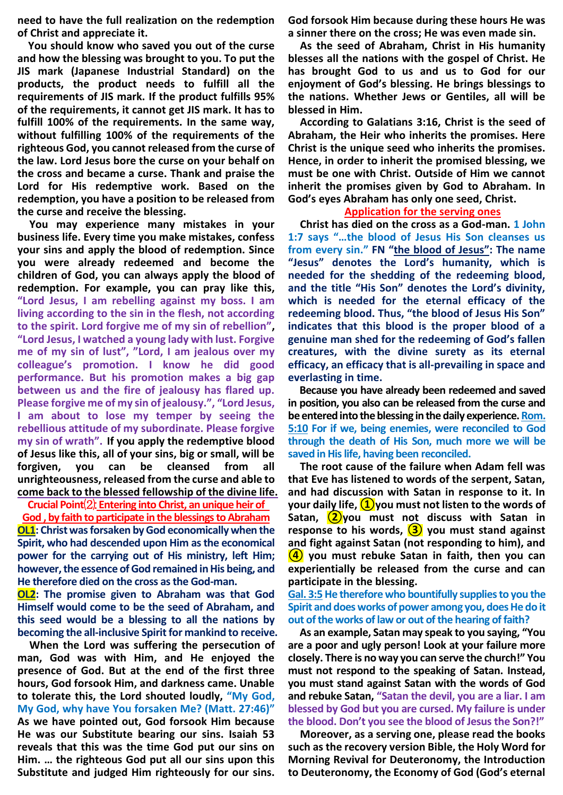**need to have the full realization on the redemption of Christ and appreciate it.**

**You should know who saved you out of the curse and how the blessing was brought to you. To put the JIS mark (Japanese Industrial Standard) on the products, the product needs to fulfill all the requirements of JIS mark. If the product fulfills 95% of the requirements, it cannot get JIS mark. It has to fulfill 100% of the requirements. In the same way, without fulfilling 100% of the requirements of the righteous God, you cannot released from the curse of the law. Lord Jesus bore the curse on your behalf on the cross and became a curse. Thank and praise the Lord for His redemptive work. Based on the redemption, you have a position to be released from the curse and receive the blessing.**

**You may experience many mistakes in your business life. Every time you make mistakes, confess your sins and apply the blood of redemption. Since you were already redeemed and become the children of God, you can always apply the blood of redemption. For example, you can pray like this, "Lord Jesus, I am rebelling against my boss. I am living according to the sin in the flesh, not according to the spirit. Lord forgive me of my sin of rebellion", "Lord Jesus, I watched a young lady with lust. Forgive me of my sin of lust", "Lord, I am jealous over my colleague's promotion. I know he did good performance. But his promotion makes a big gap between us and the fire of jealousy has flared up. Please forgive me of my sin of jealousy.", "Lord Jesus, I am about to lose my temper by seeing the rebellious attitude of my subordinate. Please forgive my sin of wrath". If you apply the redemptive blood of Jesus like this, all of your sins, big or small, will be forgiven, you can be cleansed from all unrighteousness, released from the curse and able to come back to the blessed fellowship of the divine life.**

**Crucial Point**⑵: **Entering into Christ, an unique heirof God , by faith to participate in the blessings to Abraham OL1: Christ was forsaken by God economically when the Spirit, who had descended upon Him as the economical power for the carrying out of His ministry, left Him; however, the essence of God remained in His being, and He therefore died on the cross as the God-man.**

**OL2: The promise given to Abraham was that God Himself would come to be the seed of Abraham, and this seed would be a blessing to all the nations by becoming the all-inclusive Spirit for mankind to receive.**

**When the Lord was suffering the persecution of man, God was with Him, and He enjoyed the presence of God. But at the end of the first three hours, God forsook Him, and darkness came. Unable to tolerate this, the Lord shouted loudly, "My God, My God, why have You forsaken Me? (Matt. 27:46)" As we have pointed out, God forsook Him because He was our Substitute bearing our sins. Isaiah 53 reveals that this was the time God put our sins on Him. … the righteous God put all our sins upon this Substitute and judged Him righteously for our sins.** 

**God forsook Him because during these hours He was a sinner there on the cross; He was even made sin.**

**As the seed of Abraham, Christ in His humanity blesses all the nations with the gospel of Christ. He has brought God to us and us to God for our enjoyment of God's blessing. He brings blessings to the nations. Whether Jews or Gentiles, all will be blessed in Him.**

**According to Galatians 3:16, Christ is the seed of Abraham, the Heir who inherits the promises. Here Christ is the unique seed who inherits the promises. Hence, in order to inherit the promised blessing, we must be one with Christ. Outside of Him we cannot inherit the promises given by God to Abraham. In God's eyes Abraham has only one seed, Christ.**

#### **Application for the serving ones**

**Christ has died on the cross as a God-man. 1 John 1:7 says "…the blood of Jesus His Son cleanses us from every sin." FN "the blood of Jesus": The name "Jesus" denotes the Lord's humanity, which is needed for the shedding of the redeeming blood, and the title "His Son" denotes the Lord's divinity, which is needed for the eternal efficacy of the redeeming blood. Thus, "the blood of Jesus His Son" indicates that this blood is the proper blood of a genuine man shed for the redeeming of God's fallen creatures, with the divine surety as its eternal efficacy, an efficacy that is all-prevailing in space and everlasting in time.**

**Because you have already been redeemed and saved in position, you also can be released from the curse and be entered into the blessing in the daily experience. Rom. 5:10 For if we, being enemies, were reconciled to God through the death of His Son, much more we will be saved in His life, having been reconciled.**

**The root cause of the failure when Adam fell was that Eve has listened to words of the serpent, Satan, and had discussion with Satan in response to it. In your daily life, ①you must not listen to the words of Satan, ②you must not discuss with Satan in response to his words, ③ you must stand against and fight against Satan (not responding to him), and ④ you must rebuke Satan in faith, then you can experientially be released from the curse and can participate in the blessing.**

**Gal. 3:5 He therefore who bountifully supplies to you the Spirit and does works of power among you, does He do it out of the works of law or out of the hearing of faith?**

**As an example, Satan may speak to you saying, "You are a poor and ugly person! Look at your failure more closely. There is no way you can serve the church!" You must not respond to the speaking of Satan. Instead, you must stand against Satan with the words of God and rebuke Satan, "Satan the devil, you are a liar. I am blessed by God but you are cursed. My failure is under the blood. Don't you see the blood of Jesus the Son?!"**

**Moreover, as a serving one, please read the books such as the recovery version Bible, the Holy Word for Morning Revival for Deuteronomy, the Introduction to Deuteronomy, the Economy of God (God's eternal**